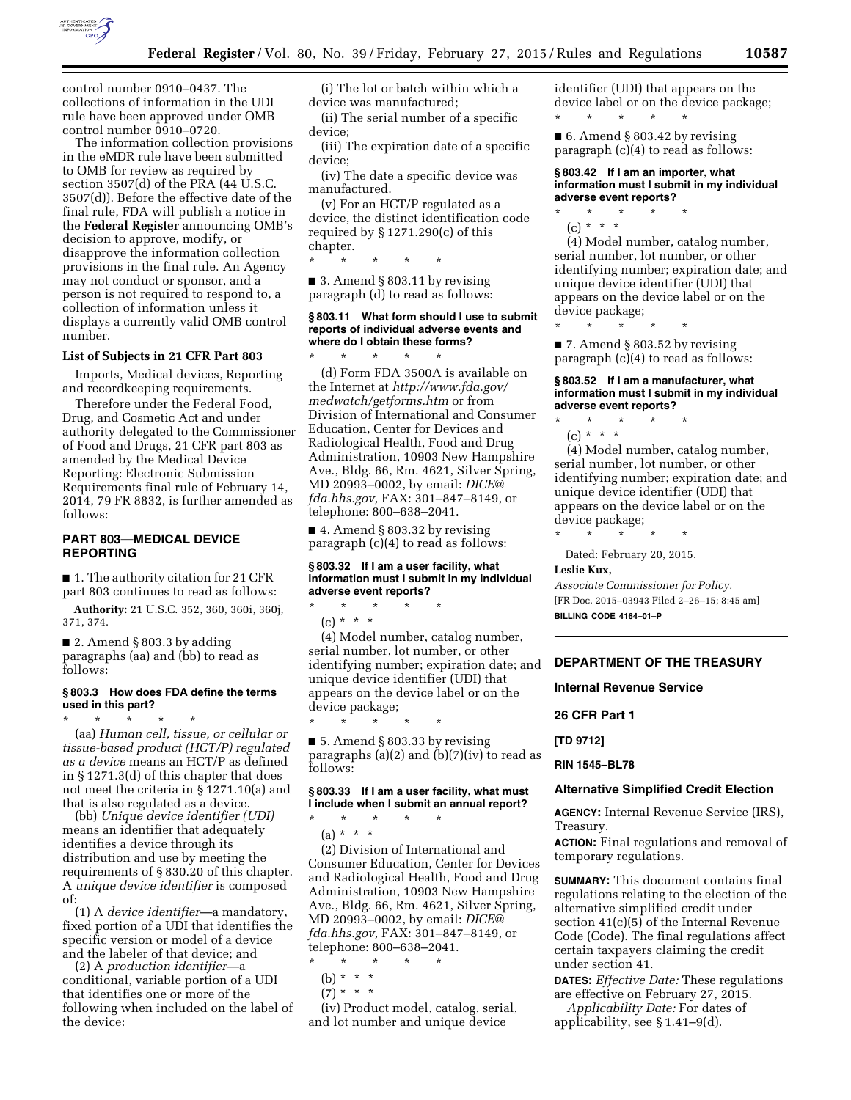

control number 0910–0437. The collections of information in the UDI rule have been approved under OMB control number 0910–0720.

The information collection provisions in the eMDR rule have been submitted to OMB for review as required by section 3507(d) of the PRA (44 U.S.C. 3507(d)). Before the effective date of the final rule, FDA will publish a notice in the **Federal Register** announcing OMB's decision to approve, modify, or disapprove the information collection provisions in the final rule. An Agency may not conduct or sponsor, and a person is not required to respond to, a collection of information unless it displays a currently valid OMB control number.

## **List of Subjects in 21 CFR Part 803**

Imports, Medical devices, Reporting and recordkeeping requirements.

Therefore under the Federal Food, Drug, and Cosmetic Act and under authority delegated to the Commissioner of Food and Drugs, 21 CFR part 803 as amended by the Medical Device Reporting: Electronic Submission Requirements final rule of February 14, 2014, 79 FR 8832, is further amended as follows:

## **PART 803—MEDICAL DEVICE REPORTING**

■ 1. The authority citation for 21 CFR part 803 continues to read as follows:

**Authority:** 21 U.S.C. 352, 360, 360i, 360j, 371, 374.

 $\blacksquare$  2. Amend § 803.3 by adding paragraphs (aa) and (bb) to read as follows:

## **§ 803.3 How does FDA define the terms used in this part?**

\* \* \* \* \* (aa) *Human cell, tissue, or cellular or tissue-based product (HCT/P) regulated as a device* means an HCT/P as defined in § 1271.3(d) of this chapter that does not meet the criteria in § 1271.10(a) and that is also regulated as a device.

(bb) *Unique device identifier (UDI)*  means an identifier that adequately identifies a device through its distribution and use by meeting the requirements of § 830.20 of this chapter. A *unique device identifier* is composed of:

(1) A *device identifier*—a mandatory, fixed portion of a UDI that identifies the specific version or model of a device and the labeler of that device; and

(2) A *production identifier*—a conditional, variable portion of a UDI that identifies one or more of the following when included on the label of the device:

(i) The lot or batch within which a device was manufactured;

(ii) The serial number of a specific device;

(iii) The expiration date of a specific device;

(iv) The date a specific device was manufactured.

(v) For an HCT/P regulated as a device, the distinct identification code required by  $\S 1271.290(c)$  of this chapter.

\* \* \* \* \*

■ 3. Amend § 803.11 by revising paragraph (d) to read as follows:

\* \* \* \* \*

## **§ 803.11 What form should I use to submit reports of individual adverse events and where do I obtain these forms?**

(d) Form FDA 3500A is available on the Internet at *[http://www.fda.gov/](http://www.fda.gov/medwatch/getforms.htm) [medwatch/getforms.htm](http://www.fda.gov/medwatch/getforms.htm)* or from Division of International and Consumer Education, Center for Devices and Radiological Health, Food and Drug Administration, 10903 New Hampshire Ave., Bldg. 66, Rm. 4621, Silver Spring, MD 20993–0002, by email: *[DICE@](mailto:DICE@fda.hhs.gov) [fda.hhs.gov,](mailto:DICE@fda.hhs.gov)* FAX: 301–847–8149, or telephone: 800–638–2041.

■ 4. Amend § 803.32 by revising paragraph (c)(4) to read as follows:

 $\star$   $\qquad$   $\star$   $\qquad$   $\star$ 

\* \* \* \* \*

## **§ 803.32 If I am a user facility, what information must I submit in my individual adverse event reports?**

 $(c) * * * *$ (4) Model number, catalog number, serial number, lot number, or other identifying number; expiration date; and unique device identifier (UDI) that appears on the device label or on the device package;

 $\blacksquare$  5. Amend § 803.33 by revising paragraphs  $(a)(2)$  and  $(b)(7)(iv)$  to read as follows:

### **§ 803.33 If I am a user facility, what must I include when I submit an annual report?**

\* \* \* \* \* (a) \* \* \*

(2) Division of International and Consumer Education, Center for Devices and Radiological Health, Food and Drug Administration, 10903 New Hampshire Ave., Bldg. 66, Rm. 4621, Silver Spring, MD 20993–0002, by email: *[DICE@](mailto:DICE@fda.hhs.gov) [fda.hhs.gov,](mailto:DICE@fda.hhs.gov)* FAX: 301–847–8149, or telephone: 800–638–2041.

\* \* \* \* \*

- (b) \* \* \*
- $(7) * * * *$

(iv) Product model, catalog, serial, and lot number and unique device

identifier (UDI) that appears on the device label or on the device package; \* \* \* \* \*

■ 6. Amend § 803.42 by revising paragraph (c)(4) to read as follows:

## **§ 803.42 If I am an importer, what information must I submit in my individual adverse event reports?**

\* \* \* \* \* (c) \* \* \*

(4) Model number, catalog number, serial number, lot number, or other identifying number; expiration date; and unique device identifier (UDI) that appears on the device label or on the device package;

\* \* \* \* \*

■ 7. Amend § 803.52 by revising paragraph (c)(4) to read as follows:

## **§ 803.52 If I am a manufacturer, what information must I submit in my individual adverse event reports?**

\* \* \* \* \*

(c) \* \* \*

(4) Model number, catalog number, serial number, lot number, or other identifying number; expiration date; and unique device identifier (UDI) that appears on the device label or on the device package;

\* \* \* \* \*

Dated: February 20, 2015.

**Leslie Kux,** 

*Associate Commissioner for Policy.*  [FR Doc. 2015–03943 Filed 2–26–15; 8:45 am] **BILLING CODE 4164–01–P** 

# **DEPARTMENT OF THE TREASURY**

**Internal Revenue Service** 

**26 CFR Part 1** 

**[TD 9712]** 

**RIN 1545–BL78** 

### **Alternative Simplified Credit Election**

**AGENCY:** Internal Revenue Service (IRS), Treasury.

**ACTION:** Final regulations and removal of temporary regulations.

**SUMMARY:** This document contains final regulations relating to the election of the alternative simplified credit under section 41(c)(5) of the Internal Revenue Code (Code). The final regulations affect certain taxpayers claiming the credit under section 41.

**DATES:** *Effective Date:* These regulations are effective on February 27, 2015.

*Applicability Date:* For dates of applicability, see § 1.41–9(d).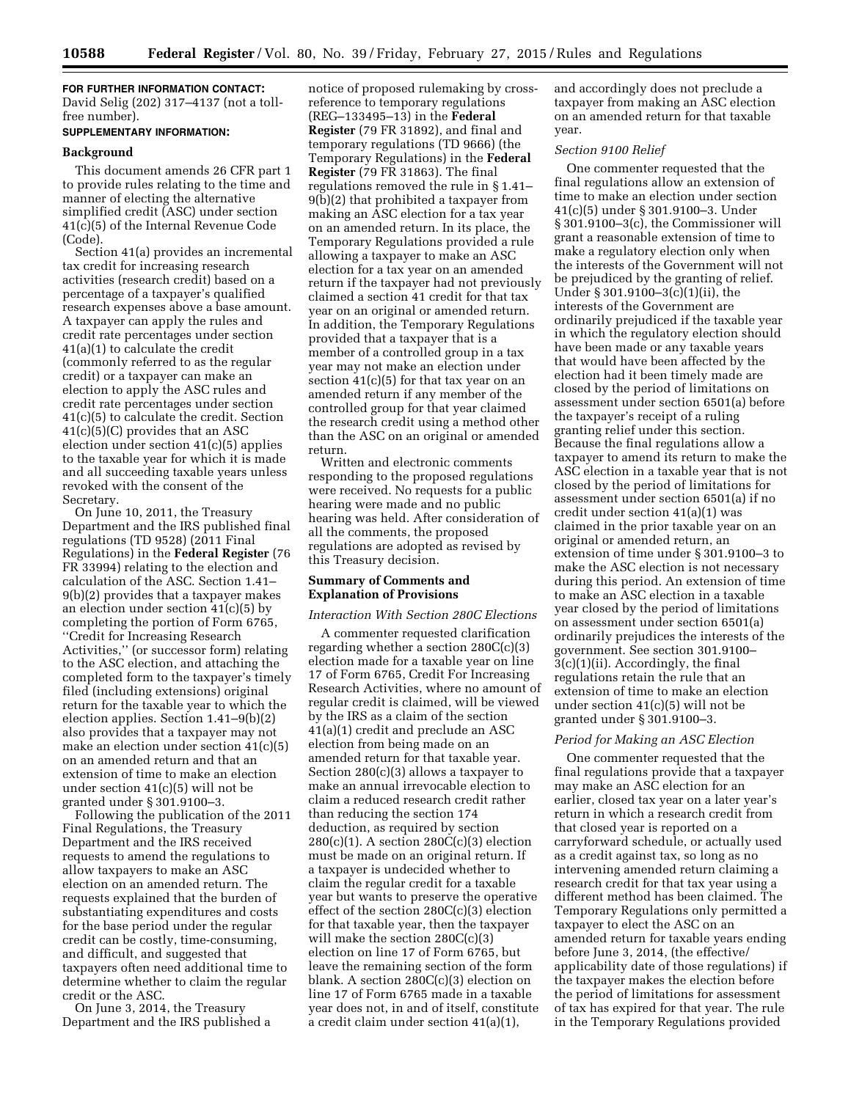**FOR FURTHER INFORMATION CONTACT:**  David Selig (202) 317–4137 (not a tollfree number).

### **SUPPLEMENTARY INFORMATION:**

# **Background**

This document amends 26 CFR part 1 to provide rules relating to the time and manner of electing the alternative simplified credit (ASC) under section 41(c)(5) of the Internal Revenue Code (Code).

Section 41(a) provides an incremental tax credit for increasing research activities (research credit) based on a percentage of a taxpayer's qualified research expenses above a base amount. A taxpayer can apply the rules and credit rate percentages under section 41(a)(1) to calculate the credit (commonly referred to as the regular credit) or a taxpayer can make an election to apply the ASC rules and credit rate percentages under section 41(c)(5) to calculate the credit. Section 41(c)(5)(C) provides that an ASC election under section 41(c)(5) applies to the taxable year for which it is made and all succeeding taxable years unless revoked with the consent of the Secretary.

On June 10, 2011, the Treasury Department and the IRS published final regulations (TD 9528) (2011 Final Regulations) in the **Federal Register** (76 FR 33994) relating to the election and calculation of the ASC. Section 1.41– 9(b)(2) provides that a taxpayer makes an election under section  $41(c)(5)$  by completing the portion of Form 6765, ''Credit for Increasing Research Activities,'' (or successor form) relating to the ASC election, and attaching the completed form to the taxpayer's timely filed (including extensions) original return for the taxable year to which the election applies. Section 1.41–9(b)(2) also provides that a taxpayer may not make an election under section 41(c)(5) on an amended return and that an extension of time to make an election under section 41(c)(5) will not be granted under § 301.9100–3.

Following the publication of the 2011 Final Regulations, the Treasury Department and the IRS received requests to amend the regulations to allow taxpayers to make an ASC election on an amended return. The requests explained that the burden of substantiating expenditures and costs for the base period under the regular credit can be costly, time-consuming, and difficult, and suggested that taxpayers often need additional time to determine whether to claim the regular credit or the ASC.

On June 3, 2014, the Treasury Department and the IRS published a notice of proposed rulemaking by crossreference to temporary regulations (REG–133495–13) in the **Federal Register** (79 FR 31892), and final and temporary regulations (TD 9666) (the Temporary Regulations) in the **Federal Register** (79 FR 31863). The final regulations removed the rule in § 1.41– 9(b)(2) that prohibited a taxpayer from making an ASC election for a tax year on an amended return. In its place, the Temporary Regulations provided a rule allowing a taxpayer to make an ASC election for a tax year on an amended return if the taxpayer had not previously claimed a section 41 credit for that tax year on an original or amended return. In addition, the Temporary Regulations provided that a taxpayer that is a member of a controlled group in a tax year may not make an election under section  $41(c)(5)$  for that tax year on an amended return if any member of the controlled group for that year claimed the research credit using a method other than the ASC on an original or amended return.

Written and electronic comments responding to the proposed regulations were received. No requests for a public hearing were made and no public hearing was held. After consideration of all the comments, the proposed regulations are adopted as revised by this Treasury decision.

# **Summary of Comments and Explanation of Provisions**

### *Interaction With Section 280C Elections*

A commenter requested clarification regarding whether a section 280C(c)(3) election made for a taxable year on line 17 of Form 6765, Credit For Increasing Research Activities, where no amount of regular credit is claimed, will be viewed by the IRS as a claim of the section 41(a)(1) credit and preclude an ASC election from being made on an amended return for that taxable year. Section 280(c)(3) allows a taxpayer to make an annual irrevocable election to claim a reduced research credit rather than reducing the section 174 deduction, as required by section  $280(c)(1)$ . A section  $280C(c)(3)$  election must be made on an original return. If a taxpayer is undecided whether to claim the regular credit for a taxable year but wants to preserve the operative effect of the section 280C(c)(3) election for that taxable year, then the taxpayer will make the section 280C(c)(3) election on line 17 of Form 6765, but leave the remaining section of the form blank. A section 280C(c)(3) election on line 17 of Form 6765 made in a taxable year does not, in and of itself, constitute a credit claim under section 41(a)(1),

and accordingly does not preclude a taxpayer from making an ASC election on an amended return for that taxable year.

## *Section 9100 Relief*

One commenter requested that the final regulations allow an extension of time to make an election under section 41(c)(5) under § 301.9100–3. Under § 301.9100–3(c), the Commissioner will grant a reasonable extension of time to make a regulatory election only when the interests of the Government will not be prejudiced by the granting of relief. Under § 301.9100–3(c)(1)(ii), the interests of the Government are ordinarily prejudiced if the taxable year in which the regulatory election should have been made or any taxable years that would have been affected by the election had it been timely made are closed by the period of limitations on assessment under section 6501(a) before the taxpayer's receipt of a ruling granting relief under this section. Because the final regulations allow a taxpayer to amend its return to make the ASC election in a taxable year that is not closed by the period of limitations for assessment under section 6501(a) if no credit under section 41(a)(1) was claimed in the prior taxable year on an original or amended return, an extension of time under § 301.9100–3 to make the ASC election is not necessary during this period. An extension of time to make an ASC election in a taxable year closed by the period of limitations on assessment under section 6501(a) ordinarily prejudices the interests of the government. See section 301.9100– 3(c)(1)(ii). Accordingly, the final regulations retain the rule that an extension of time to make an election under section 41(c)(5) will not be granted under § 301.9100–3.

## *Period for Making an ASC Election*

One commenter requested that the final regulations provide that a taxpayer may make an ASC election for an earlier, closed tax year on a later year's return in which a research credit from that closed year is reported on a carryforward schedule, or actually used as a credit against tax, so long as no intervening amended return claiming a research credit for that tax year using a different method has been claimed. The Temporary Regulations only permitted a taxpayer to elect the ASC on an amended return for taxable years ending before June 3, 2014, (the effective/ applicability date of those regulations) if the taxpayer makes the election before the period of limitations for assessment of tax has expired for that year. The rule in the Temporary Regulations provided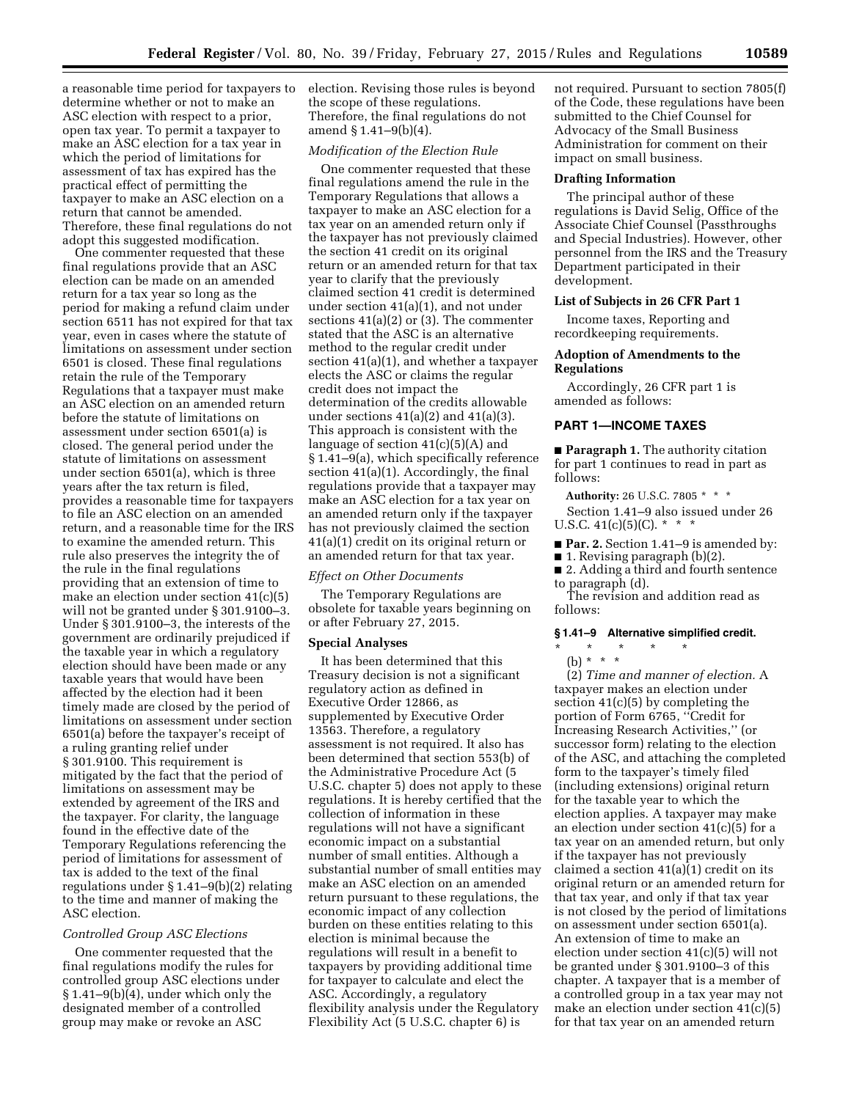a reasonable time period for taxpayers to determine whether or not to make an ASC election with respect to a prior, open tax year. To permit a taxpayer to make an ASC election for a tax year in which the period of limitations for assessment of tax has expired has the practical effect of permitting the taxpayer to make an ASC election on a return that cannot be amended. Therefore, these final regulations do not adopt this suggested modification.

One commenter requested that these final regulations provide that an ASC election can be made on an amended return for a tax year so long as the period for making a refund claim under section 6511 has not expired for that tax year, even in cases where the statute of limitations on assessment under section 6501 is closed. These final regulations retain the rule of the Temporary Regulations that a taxpayer must make an ASC election on an amended return before the statute of limitations on assessment under section 6501(a) is closed. The general period under the statute of limitations on assessment under section 6501(a), which is three years after the tax return is filed, provides a reasonable time for taxpayers to file an ASC election on an amended return, and a reasonable time for the IRS to examine the amended return. This rule also preserves the integrity the of the rule in the final regulations providing that an extension of time to make an election under section 41(c)(5) will not be granted under § 301.9100–3. Under § 301.9100–3, the interests of the government are ordinarily prejudiced if the taxable year in which a regulatory election should have been made or any taxable years that would have been affected by the election had it been timely made are closed by the period of limitations on assessment under section 6501(a) before the taxpayer's receipt of a ruling granting relief under § 301.9100. This requirement is mitigated by the fact that the period of limitations on assessment may be extended by agreement of the IRS and the taxpayer. For clarity, the language found in the effective date of the Temporary Regulations referencing the period of limitations for assessment of tax is added to the text of the final regulations under § 1.41–9(b)(2) relating to the time and manner of making the ASC election.

## *Controlled Group ASC Elections*

One commenter requested that the final regulations modify the rules for controlled group ASC elections under § 1.41–9(b)(4), under which only the designated member of a controlled group may make or revoke an ASC

election. Revising those rules is beyond the scope of these regulations. Therefore, the final regulations do not amend § 1.41–9(b)(4).

## *Modification of the Election Rule*

One commenter requested that these final regulations amend the rule in the Temporary Regulations that allows a taxpayer to make an ASC election for a tax year on an amended return only if the taxpayer has not previously claimed the section 41 credit on its original return or an amended return for that tax year to clarify that the previously claimed section 41 credit is determined under section 41(a)(1), and not under sections  $41(a)(2)$  or  $(3)$ . The commenter stated that the ASC is an alternative method to the regular credit under section 41(a)(1), and whether a taxpayer elects the ASC or claims the regular credit does not impact the determination of the credits allowable under sections 41(a)(2) and 41(a)(3). This approach is consistent with the language of section 41(c)(5)(A) and § 1.41–9(a), which specifically reference section 41(a)(1). Accordingly, the final regulations provide that a taxpayer may make an ASC election for a tax year on an amended return only if the taxpayer has not previously claimed the section 41(a)(1) credit on its original return or an amended return for that tax year.

### *Effect on Other Documents*

The Temporary Regulations are obsolete for taxable years beginning on or after February 27, 2015.

### **Special Analyses**

It has been determined that this Treasury decision is not a significant regulatory action as defined in Executive Order 12866, as supplemented by Executive Order 13563. Therefore, a regulatory assessment is not required. It also has been determined that section 553(b) of the Administrative Procedure Act (5 U.S.C. chapter 5) does not apply to these regulations. It is hereby certified that the collection of information in these regulations will not have a significant economic impact on a substantial number of small entities. Although a substantial number of small entities may make an ASC election on an amended return pursuant to these regulations, the economic impact of any collection burden on these entities relating to this election is minimal because the regulations will result in a benefit to taxpayers by providing additional time for taxpayer to calculate and elect the ASC. Accordingly, a regulatory flexibility analysis under the Regulatory Flexibility Act (5 U.S.C. chapter 6) is

not required. Pursuant to section 7805(f) of the Code, these regulations have been submitted to the Chief Counsel for Advocacy of the Small Business Administration for comment on their impact on small business.

### **Drafting Information**

The principal author of these regulations is David Selig, Office of the Associate Chief Counsel (Passthroughs and Special Industries). However, other personnel from the IRS and the Treasury Department participated in their development.

#### **List of Subjects in 26 CFR Part 1**

Income taxes, Reporting and recordkeeping requirements.

## **Adoption of Amendments to the Regulations**

Accordingly, 26 CFR part 1 is amended as follows:

## **PART 1—INCOME TAXES**

■ **Paragraph 1.** The authority citation for part 1 continues to read in part as follows:

**Authority:** 26 U.S.C. 7805 \* \* \*

Section 1.41–9 also issued under 26 U.S.C.  $41(c)(5)(C)$ . \* \* \*

■ Par. 2. Section 1.41-9 is amended by:

■ 1. Revising paragraph (b)(2).

■ 2. Adding a third and fourth sentence to paragraph (d).

The revision and addition read as follows:

### **§ 1.41–9 Alternative simplified credit.**

\* \* \* \* \*

(b) \* \* \*

(2) *Time and manner of election.* A taxpayer makes an election under section 41(c)(5) by completing the portion of Form 6765, ''Credit for Increasing Research Activities,'' (or successor form) relating to the election of the ASC, and attaching the completed form to the taxpayer's timely filed (including extensions) original return for the taxable year to which the election applies. A taxpayer may make an election under section  $41(c)(5)$  for a tax year on an amended return, but only if the taxpayer has not previously claimed a section  $41(a)\overline{(1)}$  credit on its original return or an amended return for that tax year, and only if that tax year is not closed by the period of limitations on assessment under section 6501(a). An extension of time to make an election under section 41(c)(5) will not be granted under § 301.9100–3 of this chapter. A taxpayer that is a member of a controlled group in a tax year may not make an election under section 41(c)(5) for that tax year on an amended return